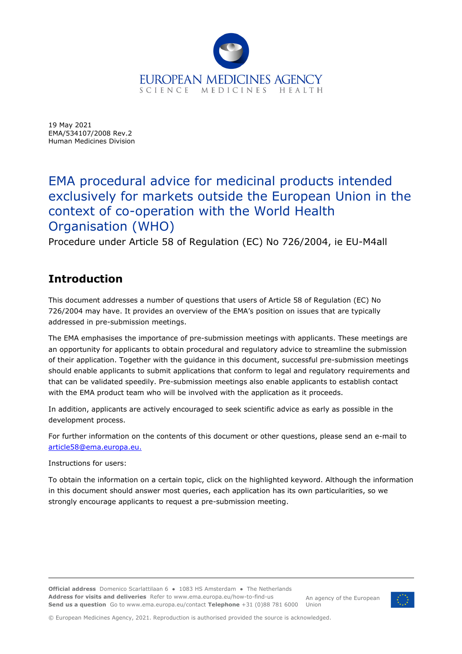

19 May 2021 EMA/534107/2008 Rev.2 Human Medicines Division

# EMA procedural advice for medicinal products intended exclusively for markets outside the European Union in the context of co-operation with the World Health Organisation (WHO)

Procedure under Article 58 of Regulation (EC) No 726/2004, ie EU-M4all

# **Introduction**

This document addresses a number of questions that users of Article 58 of Regulation (EC) No 726/2004 may have. It provides an overview of the EMA's position on issues that are typically addressed in pre-submission meetings.

The EMA emphasises the importance of pre-submission meetings with applicants. These meetings are an opportunity for applicants to obtain procedural and regulatory advice to streamline the submission of their application. Together with the guidance in this document, successful pre-submission meetings should enable applicants to submit applications that conform to legal and regulatory requirements and that can be validated speedily. Pre-submission meetings also enable applicants to establish contact with the EMA product team who will be involved with the application as it proceeds.

In addition, applicants are actively encouraged to seek scientific advice as early as possible in the development process.

For further information on the contents of this document or other questions, please send an e-mail to article58@ema.europa.eu.

Instructions for users:

To obtain the information on a certain topic, click on the highlighted keyword. Although the information in this document should answer most queries, each application has its own particularities, so we strongly encourage applicants to request a pre-submission meeting.

**Official address** Domenico Scarlattilaan 6 **●** 1083 HS Amsterdam **●** The Netherlands An agency of the European **Send us a question** Go to www.ema.europa.eu/contact **Telephone** +31 (0)88 781 6000 Union **Address for visits and deliveries** Refer to www.ema.europa.eu/how-to-find-us



© European Medicines Agency, 2021. Reproduction is authorised provided the source is acknowledged.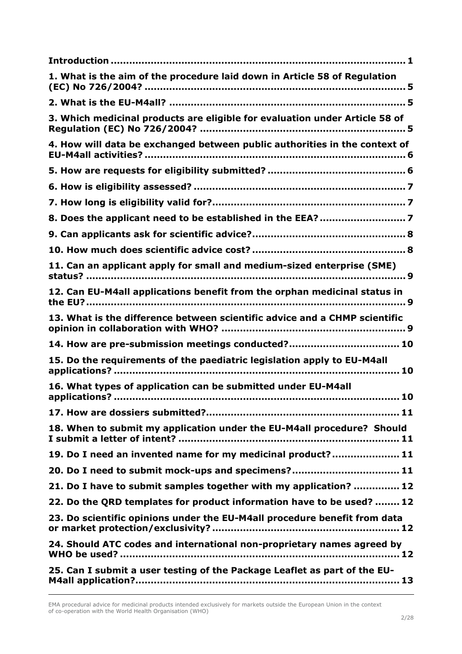| 1. What is the aim of the procedure laid down in Article 58 of Regulation                                                           |
|-------------------------------------------------------------------------------------------------------------------------------------|
|                                                                                                                                     |
| 3. Which medicinal products are eligible for evaluation under Article 58 of                                                         |
| 4. How will data be exchanged between public authorities in the context of                                                          |
|                                                                                                                                     |
|                                                                                                                                     |
|                                                                                                                                     |
|                                                                                                                                     |
|                                                                                                                                     |
|                                                                                                                                     |
| 11. Can an applicant apply for small and medium-sized enterprise (SME)                                                              |
| 12. Can EU-M4all applications benefit from the orphan medicinal status in                                                           |
| 13. What is the difference between scientific advice and a CHMP scientific                                                          |
| 14. How are pre-submission meetings conducted? 10                                                                                   |
| 15. Do the requirements of the paediatric legislation apply to EU-M4all                                                             |
| 16. What types of application can be submitted under EU-M4all                                                                       |
|                                                                                                                                     |
| 18. When to submit my application under the EU-M4all procedure? Should<br>I submit a letter of intent? ………………………………………………………………… 11 |
| 19. Do I need an invented name for my medicinal product? 11                                                                         |
| 20. Do I need to submit mock-ups and specimens? 11                                                                                  |
| 21. Do I have to submit samples together with my application?  12                                                                   |
| 22. Do the QRD templates for product information have to be used?  12                                                               |
| 23. Do scientific opinions under the EU-M4all procedure benefit from data                                                           |
| 24. Should ATC codes and international non-proprietary names agreed by                                                              |
| 25. Can I submit a user testing of the Package Leaflet as part of the EU-                                                           |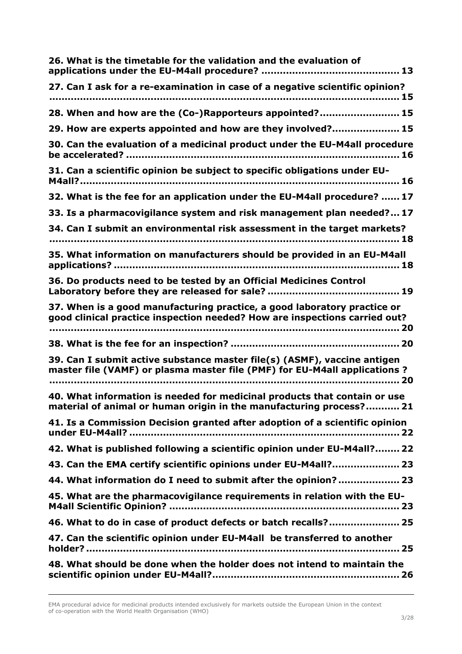| 26. What is the timetable for the validation and the evaluation of                                                                                     |
|--------------------------------------------------------------------------------------------------------------------------------------------------------|
|                                                                                                                                                        |
| 27. Can I ask for a re-examination in case of a negative scientific opinion?                                                                           |
| 28. When and how are the (Co-)Rapporteurs appointed? 15                                                                                                |
| 29. How are experts appointed and how are they involved? 15                                                                                            |
| 30. Can the evaluation of a medicinal product under the EU-M4all procedure                                                                             |
| 31. Can a scientific opinion be subject to specific obligations under EU-                                                                              |
| 32. What is the fee for an application under the EU-M4all procedure?  17                                                                               |
| 33. Is a pharmacovigilance system and risk management plan needed? 17                                                                                  |
| 34. Can I submit an environmental risk assessment in the target markets?                                                                               |
| 35. What information on manufacturers should be provided in an EU-M4all                                                                                |
| 36. Do products need to be tested by an Official Medicines Control                                                                                     |
| 37. When is a good manufacturing practice, a good laboratory practice or<br>good clinical practice inspection needed? How are inspections carried out? |
|                                                                                                                                                        |
| 39. Can I submit active substance master file(s) (ASMF), vaccine antigen                                                                               |
| master file (VAMF) or plasma master file (PMF) for EU-M4all applications ?                                                                             |
| 40. What information is needed for medicinal products that contain or use<br>material of animal or human origin in the manufacturing process? 21       |
| 41. Is a Commission Decision granted after adoption of a scientific opinion                                                                            |
| 42. What is published following a scientific opinion under EU-M4all? 22                                                                                |
| 43. Can the EMA certify scientific opinions under EU-M4all? 23                                                                                         |
| 44. What information do I need to submit after the opinion? 23                                                                                         |
| 45. What are the pharmacovigilance requirements in relation with the EU-                                                                               |
| 46. What to do in case of product defects or batch recalls? 25                                                                                         |
| 47. Can the scientific opinion under EU-M4all be transferred to another                                                                                |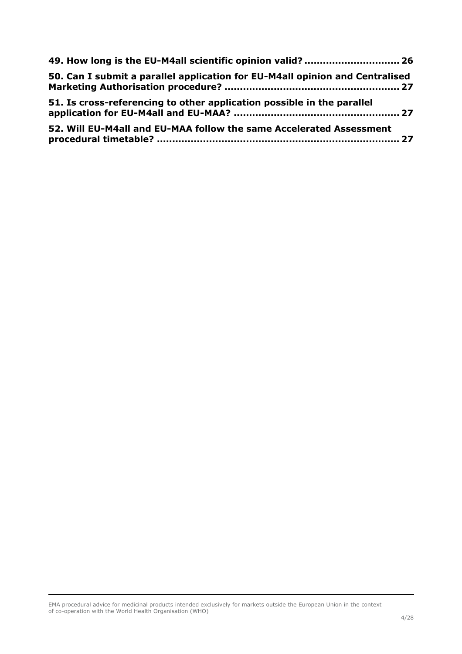| 49. How long is the EU-M4all scientific opinion valid?  26                   |
|------------------------------------------------------------------------------|
| 50. Can I submit a parallel application for EU-M4all opinion and Centralised |
| 51. Is cross-referencing to other application possible in the parallel       |
| 52. Will EU-M4all and EU-MAA follow the same Accelerated Assessment          |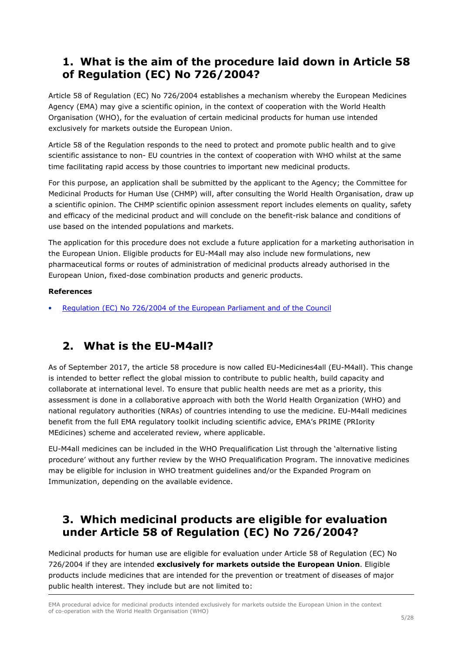## **1. What is the aim of the procedure laid down in Article 58 of Regulation (EC) No 726/2004?**

Article 58 of Regulation (EC) No 726/2004 establishes a mechanism whereby the European Medicines Agency (EMA) may give a scientific opinion, in the context of cooperation with the World Health Organisation (WHO), for the evaluation of certain medicinal products for human use intended exclusively for markets outside the European Union.

Article 58 of the Regulation responds to the need to protect and promote public health and to give scientific assistance to non- EU countries in the context of cooperation with WHO whilst at the same time facilitating rapid access by those countries to important new medicinal products.

For this purpose, an application shall be submitted by the applicant to the Agency; the Committee for Medicinal Products for Human Use (CHMP) will, after consulting the World Health Organisation, draw up a scientific opinion. The CHMP scientific opinion assessment report includes elements on quality, safety and efficacy of the medicinal product and will conclude on the benefit-risk balance and conditions of use based on the intended populations and markets.

The application for this procedure does not exclude a future application for a marketing authorisation in the European Union. Eligible products for EU-M4all may also include new formulations, new pharmaceutical forms or routes of administration of medicinal products already authorised in the European Union, fixed-dose combination products and generic products.

#### **References**

• Regulation (EC) No 726/2004 of the European Parliament and of the Council

#### **2. What is the EU-M4all?**

As of September 2017, the article 58 procedure is now called EU-Medicines4all (EU-M4all). This change is intended to better reflect the global mission to contribute to public health, build capacity and collaborate at international level. To ensure that public health needs are met as a priority, this assessment is done in a collaborative approach with both the World Health Organization (WHO) and national regulatory authorities (NRAs) of countries intending to use the medicine. EU-M4all medicines benefit from the full EMA regulatory toolkit including scientific advice, EMA's PRIME (PRIority MEdicines) scheme and accelerated review, where applicable.

EU-M4all medicines can be included in the WHO Prequalification List through the 'alternative listing procedure' without any further review by the WHO Prequalification Program. The innovative medicines may be eligible for inclusion in WHO treatment guidelines and/or the Expanded Program on Immunization, depending on the available evidence.

### **3. Which medicinal products are eligible for evaluation under Article 58 of Regulation (EC) No 726/2004?**

Medicinal products for human use are eligible for evaluation under Article 58 of Regulation (EC) No 726/2004 if they are intended **exclusively for markets outside the European Union**. Eligible products include medicines that are intended for the prevention or treatment of diseases of major public health interest. They include but are not limited to:

EMA procedural advice for medicinal products intended exclusively for markets outside the European Union in the context of co-operation with the World Health Organisation (WHO)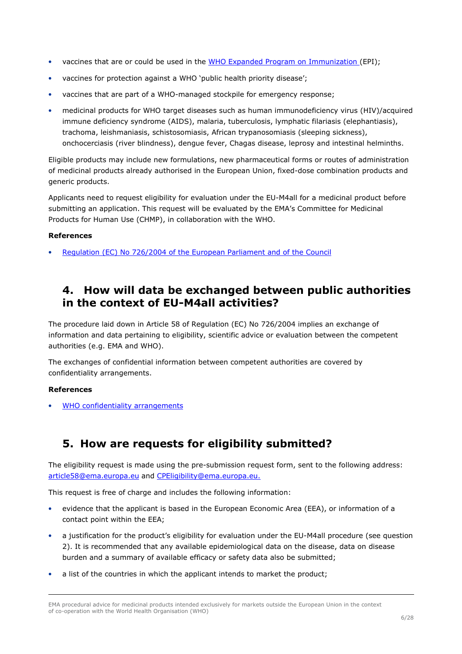- vaccines that are or could be used in the WHO Expanded Program on Immunization (EPI);
- vaccines for protection against a WHO 'public health priority disease';
- vaccines that are part of a WHO-managed stockpile for emergency response;
- medicinal products for WHO target diseases such as human immunodeficiency virus (HIV)/acquired immune deficiency syndrome (AIDS), malaria, tuberculosis, lymphatic filariasis (elephantiasis), trachoma, leishmaniasis, schistosomiasis, African trypanosomiasis (sleeping sickness), onchocerciasis (river blindness), dengue fever, Chagas disease, leprosy and intestinal helminths.

Eligible products may include new formulations, new pharmaceutical forms or routes of administration of medicinal products already authorised in the European Union, fixed-dose combination products and generic products.

Applicants need to request eligibility for evaluation under the EU-M4all for a medicinal product before submitting an application. This request will be evaluated by the EMA's Committee for Medicinal Products for Human Use (CHMP), in collaboration with the WHO.

#### **References**

• Regulation (EC) No 726/2004 of the European Parliament and of the Council

#### **4. How will data be exchanged between public authorities in the context of EU-M4all activities?**

The procedure laid down in Article 58 of Regulation (EC) No 726/2004 implies an exchange of information and data pertaining to eligibility, scientific advice or evaluation between the competent authorities (e.g. EMA and WHO).

The exchanges of confidential information between competent authorities are covered by confidentiality arrangements.

#### **References**

WHO confidentiality arrangements

#### **5. How are requests for eligibility submitted?**

The eligibility request is made using the pre-submission request form, sent to the following address: article58@ema.europa.eu and CPEligibility@ema.europa.eu.

This request is free of charge and includes the following information:

- evidence that the applicant is based in the European Economic Area (EEA), or information of a contact point within the EEA;
- a justification for the product's eligibility for evaluation under the EU-M4all procedure (see question 2). It is recommended that any available epidemiological data on the disease, data on disease burden and a summary of available efficacy or safety data also be submitted;
- a list of the countries in which the applicant intends to market the product;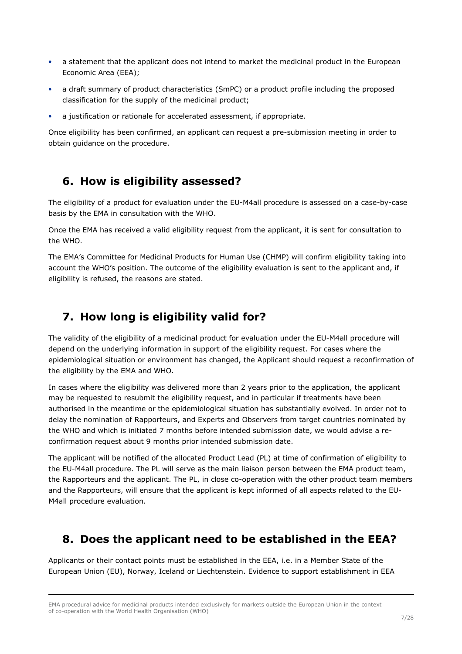- a statement that the applicant does not intend to market the medicinal product in the European Economic Area (EEA);
- a draft summary of product characteristics (SmPC) or a product profile including the proposed classification for the supply of the medicinal product;
- a justification or rationale for accelerated assessment, if appropriate.

Once eligibility has been confirmed, an applicant can request a pre-submission meeting in order to obtain guidance on the procedure.

#### **6. How is eligibility assessed?**

The eligibility of a product for evaluation under the EU-M4all procedure is assessed on a case-by-case basis by the EMA in consultation with the WHO.

Once the EMA has received a valid eligibility request from the applicant, it is sent for consultation to the WHO.

The EMA's Committee for Medicinal Products for Human Use (CHMP) will confirm eligibility taking into account the WHO's position. The outcome of the eligibility evaluation is sent to the applicant and, if eligibility is refused, the reasons are stated.

## **7. How long is eligibility valid for?**

The validity of the eligibility of a medicinal product for evaluation under the EU-M4all procedure will depend on the underlying information in support of the eligibility request. For cases where the epidemiological situation or environment has changed, the Applicant should request a reconfirmation of the eligibility by the EMA and WHO.

In cases where the eligibility was delivered more than 2 years prior to the application, the applicant may be requested to resubmit the eligibility request, and in particular if treatments have been authorised in the meantime or the epidemiological situation has substantially evolved. In order not to delay the nomination of Rapporteurs, and Experts and Observers from target countries nominated by the WHO and which is initiated 7 months before intended submission date, we would advise a reconfirmation request about 9 months prior intended submission date.

The applicant will be notified of the allocated Product Lead (PL) at time of confirmation of eligibility to the EU-M4all procedure. The PL will serve as the main liaison person between the EMA product team, the Rapporteurs and the applicant. The PL, in close co-operation with the other product team members and the Rapporteurs, will ensure that the applicant is kept informed of all aspects related to the EU-M4all procedure evaluation.

#### **8. Does the applicant need to be established in the EEA?**

Applicants or their contact points must be established in the EEA, i.e. in a Member State of the European Union (EU), Norway, Iceland or Liechtenstein. Evidence to support establishment in EEA

EMA procedural advice for medicinal products intended exclusively for markets outside the European Union in the context of co-operation with the World Health Organisation (WHO)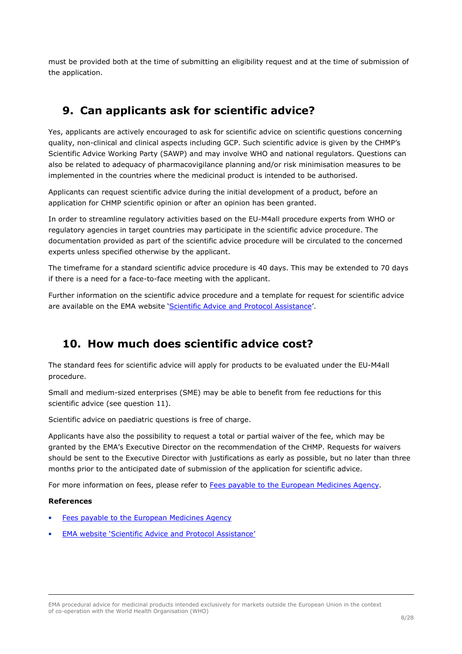must be provided both at the time of submitting an eligibility request and at the time of submission of the application.

# **9. Can applicants ask for scientific advice?**

Yes, applicants are actively encouraged to ask for scientific advice on scientific questions concerning quality, non-clinical and clinical aspects including GCP. Such scientific advice is given by the CHMP's Scientific Advice Working Party (SAWP) and may involve WHO and national regulators. Questions can also be related to adequacy of pharmacovigilance planning and/or risk minimisation measures to be implemented in the countries where the medicinal product is intended to be authorised.

Applicants can request scientific advice during the initial development of a product, before an application for CHMP scientific opinion or after an opinion has been granted.

In order to streamline regulatory activities based on the EU-M4all procedure experts from WHO or regulatory agencies in target countries may participate in the scientific advice procedure. The documentation provided as part of the scientific advice procedure will be circulated to the concerned experts unless specified otherwise by the applicant.

The timeframe for a standard scientific advice procedure is 40 days. This may be extended to 70 days if there is a need for a face-to-face meeting with the applicant.

Further information on the scientific advice procedure and a template for request for scientific advice are available on the EMA website 'Scientific Advice and Protocol Assistance'.

#### **10. How much does scientific advice cost?**

The standard fees for scientific advice will apply for products to be evaluated under the EU-M4all procedure.

Small and medium-sized enterprises (SME) may be able to benefit from fee reductions for this scientific advice (see question 11).

Scientific advice on paediatric questions is free of charge.

Applicants have also the possibility to request a total or partial waiver of the fee, which may be granted by the EMA's Executive Director on the recommendation of the CHMP. Requests for waivers should be sent to the Executive Director with justifications as early as possible, but no later than three months prior to the anticipated date of submission of the application for scientific advice.

For more information on fees, please refer to Fees payable to the European Medicines Agency.

#### **References**

- Fees payable to the European Medicines Agency
- EMA website 'Scientific Advice and Protocol Assistance'

EMA procedural advice for medicinal products intended exclusively for markets outside the European Union in the context of co-operation with the World Health Organisation (WHO)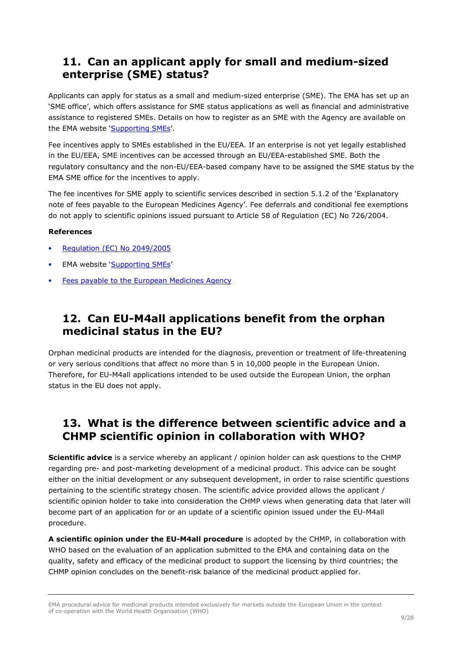### **11. Can an applicant apply for small and medium-sized enterprise (SME) status?**

Applicants can apply for status as a small and medium-sized enterprise (SME). The EMA has set up an 'SME office', which offers assistance for SME status applications as well as financial and administrative assistance to registered SMEs. Details on how to register as an SME with the Agency are available on the EMA website 'Supporting SMEs'.

Fee incentives apply to SMEs established in the EU/EEA. If an enterprise is not yet legally established in the EU/EEA, SME incentives can be accessed through an EU/EEA-established SME. Both the regulatory consultancy and the non-EU/EEA-based company have to be assigned the SME status by the EMA SME office for the incentives to apply.

The fee incentives for SME apply to scientific services described in section 5.1.2 of the 'Explanatory note of fees payable to the European Medicines Agency'. Fee deferrals and conditional fee exemptions do not apply to scientific opinions issued pursuant to Article 58 of Regulation (EC) No 726/2004.

#### **References**

- Regulation (EC) No 2049/2005
- EMA website 'Supporting SMEs'
- Fees payable to the European Medicines Agency

### **12. Can EU-M4all applications benefit from the orphan medicinal status in the EU?**

Orphan medicinal products are intended for the diagnosis, prevention or treatment of life-threatening or very serious conditions that affect no more than 5 in 10,000 people in the European Union. Therefore, for EU-M4all applications intended to be used outside the European Union, the orphan status in the EU does not apply.

### **13. What is the difference between scientific advice and a CHMP scientific opinion in collaboration with WHO?**

**Scientific advice** is a service whereby an applicant / opinion holder can ask questions to the CHMP regarding pre- and post-marketing development of a medicinal product. This advice can be sought either on the initial development or any subsequent development, in order to raise scientific questions pertaining to the scientific strategy chosen. The scientific advice provided allows the applicant / scientific opinion holder to take into consideration the CHMP views when generating data that later will become part of an application for or an update of a scientific opinion issued under the EU-M4all procedure.

**A scientific opinion under the EU-M4all procedure** is adopted by the CHMP, in collaboration with WHO based on the evaluation of an application submitted to the EMA and containing data on the quality, safety and efficacy of the medicinal product to support the licensing by third countries; the CHMP opinion concludes on the benefit-risk balance of the medicinal product applied for.

EMA procedural advice for medicinal products intended exclusively for markets outside the European Union in the context of co-operation with the World Health Organisation (WHO)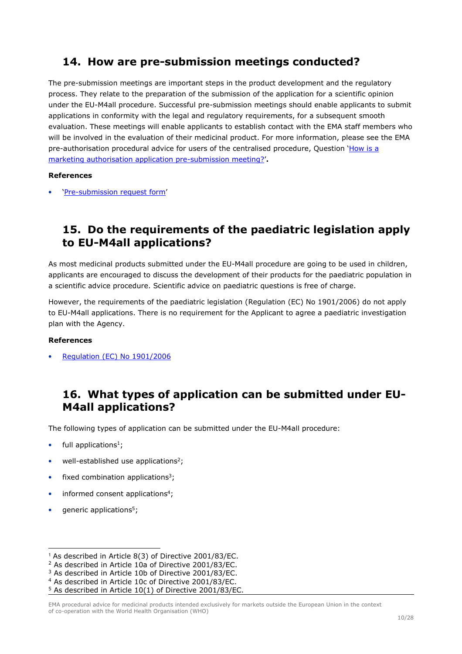### **14. How are pre-submission meetings conducted?**

The pre-submission meetings are important steps in the product development and the regulatory process. They relate to the preparation of the submission of the application for a scientific opinion under the EU-M4all procedure. Successful pre-submission meetings should enable applicants to submit applications in conformity with the legal and regulatory requirements, for a subsequent smooth evaluation. These meetings will enable applicants to establish contact with the EMA staff members who will be involved in the evaluation of their medicinal product. For more information, please see the EMA pre-authorisation procedural advice for users of the centralised procedure, Question 'How is a marketing authorisation application pre-submission meeting?'**.** 

#### **References**

• 'Pre-submission request form'

### **15. Do the requirements of the paediatric legislation apply to EU-M4all applications?**

As most medicinal products submitted under the EU-M4all procedure are going to be used in children, applicants are encouraged to discuss the development of their products for the paediatric population in a scientific advice procedure. Scientific advice on paediatric questions is free of charge.

However, the requirements of the paediatric legislation (Regulation (EC) No 1901/2006) do not apply to EU-M4all applications. There is no requirement for the Applicant to agree a paediatric investigation plan with the Agency.

#### **References**

• Regulation (EC) No 1901/2006

### **16. What types of application can be submitted under EU-M4all applications?**

The following types of application can be submitted under the EU-M4all procedure:

- full applications<sup>1</sup>;
- well-established use applications<sup>2</sup>;
- fixed combination applications<sup>3</sup>;
- informed consent applications<sup>4</sup>;
- generic applications<sup>5</sup>;

<sup>1</sup> As described in Article 8(3) of Directive 2001/83/EC.

<sup>2</sup> As described in Article 10a of Directive 2001/83/EC.

<sup>3</sup> As described in Article 10b of Directive 2001/83/EC.

<sup>4</sup> As described in Article 10c of Directive 2001/83/EC.

<sup>5</sup> As described in Article 10(1) of Directive 2001/83/EC.

EMA procedural advice for medicinal products intended exclusively for markets outside the European Union in the context of co-operation with the World Health Organisation (WHO)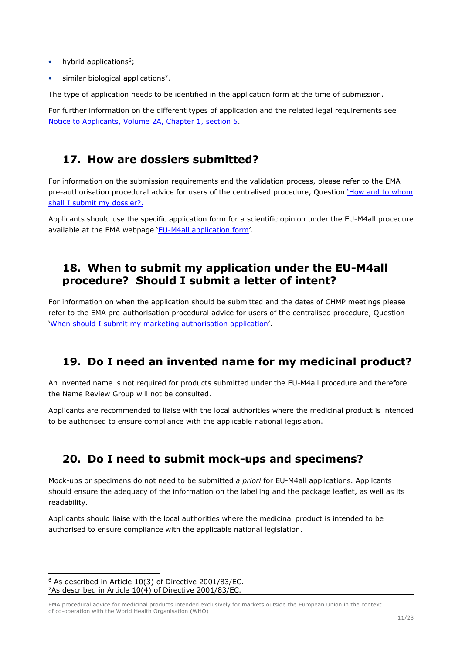- hybrid applications $6$ ;
- similar biological applications<sup>7</sup>.

The type of application needs to be identified in the application form at the time of submission.

For further information on the different types of application and the related legal requirements see Notice to Applicants, Volume 2A, Chapter 1, section 5.

#### **17. How are dossiers submitted?**

For information on the submission requirements and the validation process, please refer to the EMA pre-authorisation procedural advice for users of the centralised procedure, Question 'How and to whom shall I submit my dossier?.

Applicants should use the specific application form for a scientific opinion under the EU-M4all procedure available at the EMA webpage 'EU-M4all application form'.

#### **18. When to submit my application under the EU-M4all procedure? Should I submit a letter of intent?**

For information on when the application should be submitted and the dates of CHMP meetings please refer to the EMA pre-authorisation procedural advice for users of the centralised procedure, Question 'When should I submit my marketing authorisation application'.

## **19. Do I need an invented name for my medicinal product?**

An invented name is not required for products submitted under the EU-M4all procedure and therefore the Name Review Group will not be consulted.

Applicants are recommended to liaise with the local authorities where the medicinal product is intended to be authorised to ensure compliance with the applicable national legislation.

## **20. Do I need to submit mock-ups and specimens?**

Mock-ups or specimens do not need to be submitted *a priori* for EU-M4all applications. Applicants should ensure the adequacy of the information on the labelling and the package leaflet, as well as its readability.

Applicants should liaise with the local authorities where the medicinal product is intended to be authorised to ensure compliance with the applicable national legislation.

<sup>6</sup> As described in Article 10(3) of Directive 2001/83/EC. <sup>7</sup>As described in Article 10(4) of Directive 2001/83/EC.

EMA procedural advice for medicinal products intended exclusively for markets outside the European Union in the context of co-operation with the World Health Organisation (WHO)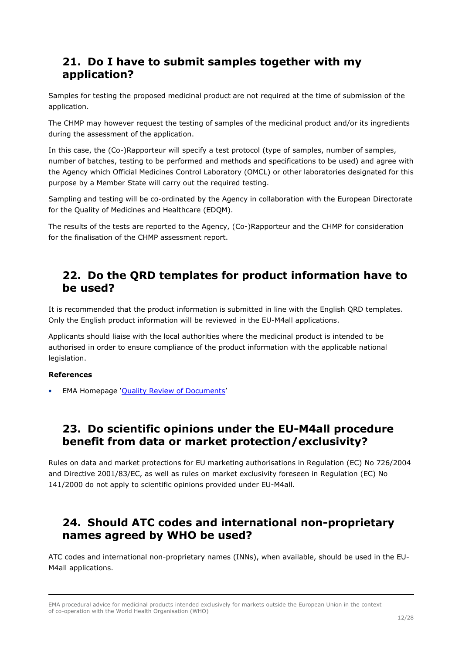#### **21. Do I have to submit samples together with my application?**

Samples for testing the proposed medicinal product are not required at the time of submission of the application.

The CHMP may however request the testing of samples of the medicinal product and/or its ingredients during the assessment of the application.

In this case, the (Co-)Rapporteur will specify a test protocol (type of samples, number of samples, number of batches, testing to be performed and methods and specifications to be used) and agree with the Agency which Official Medicines Control Laboratory (OMCL) or other laboratories designated for this purpose by a Member State will carry out the required testing.

Sampling and testing will be co-ordinated by the Agency in collaboration with the European Directorate for the Quality of Medicines and Healthcare (EDQM).

The results of the tests are reported to the Agency, (Co-)Rapporteur and the CHMP for consideration for the finalisation of the CHMP assessment report.

#### **22. Do the QRD templates for product information have to be used?**

It is recommended that the product information is submitted in line with the English QRD templates. Only the English product information will be reviewed in the EU-M4all applications.

Applicants should liaise with the local authorities where the medicinal product is intended to be authorised in order to ensure compliance of the product information with the applicable national legislation.

#### **References**

• EMA Homepage 'Quality Review of Documents'

#### **23. Do scientific opinions under the EU-M4all procedure benefit from data or market protection/exclusivity?**

Rules on data and market protections for EU marketing authorisations in Regulation (EC) No 726/2004 and Directive 2001/83/EC, as well as rules on market exclusivity foreseen in Regulation (EC) No 141/2000 do not apply to scientific opinions provided under EU-M4all.

### **24. Should ATC codes and international non-proprietary names agreed by WHO be used?**

ATC codes and international non-proprietary names (INNs), when available, should be used in the EU-M4all applications.

EMA procedural advice for medicinal products intended exclusively for markets outside the European Union in the context of co-operation with the World Health Organisation (WHO)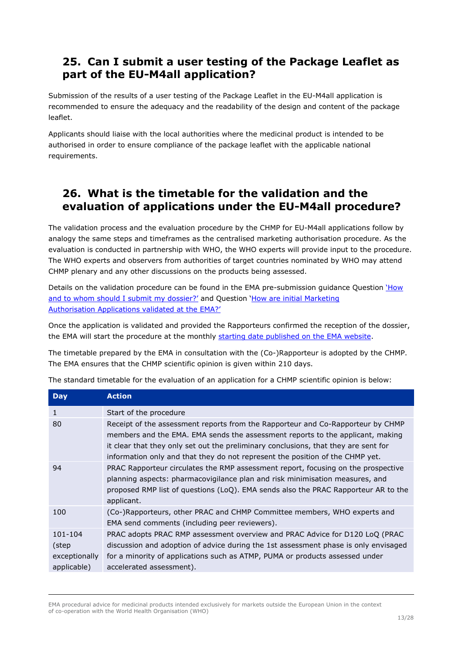### **25. Can I submit a user testing of the Package Leaflet as part of the EU-M4all application?**

Submission of the results of a user testing of the Package Leaflet in the EU-M4all application is recommended to ensure the adequacy and the readability of the design and content of the package leaflet.

Applicants should liaise with the local authorities where the medicinal product is intended to be authorised in order to ensure compliance of the package leaflet with the applicable national requirements.

### **26. What is the timetable for the validation and the evaluation of applications under the EU-M4all procedure?**

The validation process and the evaluation procedure by the CHMP for EU-M4all applications follow by analogy the same steps and timeframes as the centralised marketing authorisation procedure. As the evaluation is conducted in partnership with WHO, the WHO experts will provide input to the procedure. The WHO experts and observers from authorities of target countries nominated by WHO may attend CHMP plenary and any other discussions on the products being assessed.

Details on the validation procedure can be found in the EMA pre-submission guidance Question 'How and to whom should I submit my dossier?' and Question 'How are initial Marketing Authorisation Applications validated at the EMA?'

Once the application is validated and provided the Rapporteurs confirmed the reception of the dossier, the EMA will start the procedure at the monthly starting date published on the EMA website.

The timetable prepared by the EMA in consultation with the (Co-)Rapporteur is adopted by the CHMP. The EMA ensures that the CHMP scientific opinion is given within 210 days.

| <b>Day</b>                                       | <b>Action</b>                                                                                                                                                                                                                                                                                                                             |
|--------------------------------------------------|-------------------------------------------------------------------------------------------------------------------------------------------------------------------------------------------------------------------------------------------------------------------------------------------------------------------------------------------|
| 1                                                | Start of the procedure                                                                                                                                                                                                                                                                                                                    |
| 80                                               | Receipt of the assessment reports from the Rapporteur and Co-Rapporteur by CHMP<br>members and the EMA. EMA sends the assessment reports to the applicant, making<br>it clear that they only set out the preliminary conclusions, that they are sent for<br>information only and that they do not represent the position of the CHMP yet. |
| 94                                               | PRAC Rapporteur circulates the RMP assessment report, focusing on the prospective<br>planning aspects: pharmacovigilance plan and risk minimisation measures, and<br>proposed RMP list of questions (LoQ). EMA sends also the PRAC Rapporteur AR to the<br>applicant.                                                                     |
| 100                                              | (Co-)Rapporteurs, other PRAC and CHMP Committee members, WHO experts and<br>EMA send comments (including peer reviewers).                                                                                                                                                                                                                 |
| 101-104<br>(step<br>exceptionally<br>applicable) | PRAC adopts PRAC RMP assessment overview and PRAC Advice for D120 LoQ (PRAC<br>discussion and adoption of advice during the 1st assessment phase is only envisaged<br>for a minority of applications such as ATMP, PUMA or products assessed under<br>accelerated assessment).                                                            |

The standard timetable for the evaluation of an application for a CHMP scientific opinion is below:

EMA procedural advice for medicinal products intended exclusively for markets outside the European Union in the context of co-operation with the World Health Organisation (WHO)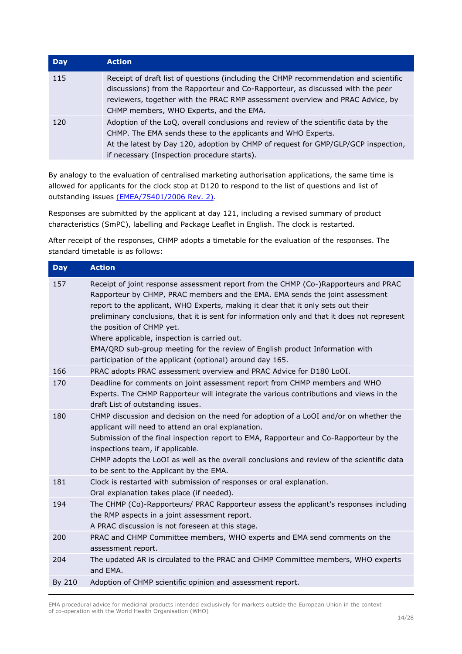| <b>Day</b> | <b>Action</b>                                                                                                                                                                                                                                                                                      |
|------------|----------------------------------------------------------------------------------------------------------------------------------------------------------------------------------------------------------------------------------------------------------------------------------------------------|
| 115        | Receipt of draft list of questions (including the CHMP recommendation and scientific<br>discussions) from the Rapporteur and Co-Rapporteur, as discussed with the peer<br>reviewers, together with the PRAC RMP assessment overview and PRAC Advice, by<br>CHMP members, WHO Experts, and the EMA. |
| 120        | Adoption of the LoQ, overall conclusions and review of the scientific data by the<br>CHMP. The EMA sends these to the applicants and WHO Experts.<br>At the latest by Day 120, adoption by CHMP of request for GMP/GLP/GCP inspection,<br>if necessary (Inspection procedure starts).              |

By analogy to the evaluation of centralised marketing authorisation applications, the same time is allowed for applicants for the clock stop at D120 to respond to the list of questions and list of outstanding issues (EMEA/75401/2006 Rev. 2).

Responses are submitted by the applicant at day 121, including a revised summary of product characteristics (SmPC), labelling and Package Leaflet in English. The clock is restarted.

After receipt of the responses, CHMP adopts a timetable for the evaluation of the responses. The standard timetable is as follows:

| <b>Day</b> | <b>Action</b>                                                                                                                                                                                                                                                                                                                                                                                                                                                                                                                                                                      |
|------------|------------------------------------------------------------------------------------------------------------------------------------------------------------------------------------------------------------------------------------------------------------------------------------------------------------------------------------------------------------------------------------------------------------------------------------------------------------------------------------------------------------------------------------------------------------------------------------|
| 157        | Receipt of joint response assessment report from the CHMP (Co-)Rapporteurs and PRAC<br>Rapporteur by CHMP, PRAC members and the EMA. EMA sends the joint assessment<br>report to the applicant, WHO Experts, making it clear that it only sets out their<br>preliminary conclusions, that it is sent for information only and that it does not represent<br>the position of CHMP yet.<br>Where applicable, inspection is carried out.<br>EMA/QRD sub-group meeting for the review of English product Information with<br>participation of the applicant (optional) around day 165. |
| 166        | PRAC adopts PRAC assessment overview and PRAC Advice for D180 LoOI.                                                                                                                                                                                                                                                                                                                                                                                                                                                                                                                |
| 170        | Deadline for comments on joint assessment report from CHMP members and WHO<br>Experts. The CHMP Rapporteur will integrate the various contributions and views in the<br>draft List of outstanding issues.                                                                                                                                                                                                                                                                                                                                                                          |
| 180        | CHMP discussion and decision on the need for adoption of a LoOI and/or on whether the<br>applicant will need to attend an oral explanation.<br>Submission of the final inspection report to EMA, Rapporteur and Co-Rapporteur by the<br>inspections team, if applicable.<br>CHMP adopts the LoOI as well as the overall conclusions and review of the scientific data<br>to be sent to the Applicant by the EMA.                                                                                                                                                                   |
| 181        | Clock is restarted with submission of responses or oral explanation.<br>Oral explanation takes place (if needed).                                                                                                                                                                                                                                                                                                                                                                                                                                                                  |
| 194        | The CHMP (Co)-Rapporteurs/ PRAC Rapporteur assess the applicant's responses including<br>the RMP aspects in a joint assessment report.<br>A PRAC discussion is not foreseen at this stage.                                                                                                                                                                                                                                                                                                                                                                                         |
| 200        | PRAC and CHMP Committee members, WHO experts and EMA send comments on the<br>assessment report.                                                                                                                                                                                                                                                                                                                                                                                                                                                                                    |
| 204        | The updated AR is circulated to the PRAC and CHMP Committee members, WHO experts<br>and EMA.                                                                                                                                                                                                                                                                                                                                                                                                                                                                                       |
| By 210     | Adoption of CHMP scientific opinion and assessment report.                                                                                                                                                                                                                                                                                                                                                                                                                                                                                                                         |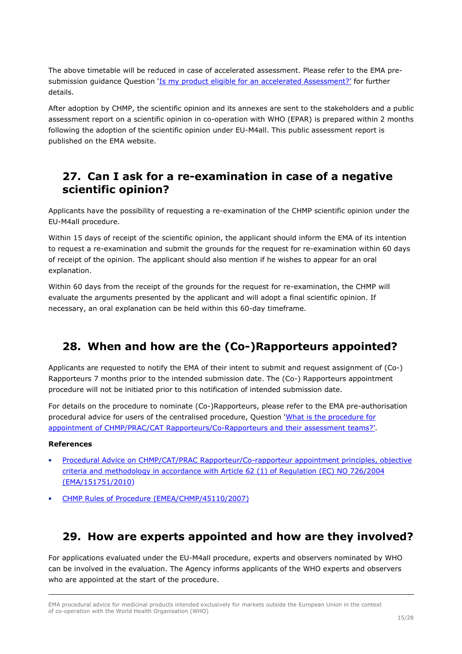The above timetable will be reduced in case of accelerated assessment. Please refer to the EMA presubmission guidance Question 'Is my product eligible for an accelerated Assessment?' for further details.

After adoption by CHMP, the scientific opinion and its annexes are sent to the stakeholders and a public assessment report on a scientific opinion in co-operation with WHO (EPAR) is prepared within 2 months following the adoption of the scientific opinion under EU-M4all. This public assessment report is published on the EMA website.

### **27. Can I ask for a re-examination in case of a negative scientific opinion?**

Applicants have the possibility of requesting a re-examination of the CHMP scientific opinion under the EU-M4all procedure.

Within 15 days of receipt of the scientific opinion, the applicant should inform the EMA of its intention to request a re-examination and submit the grounds for the request for re-examination within 60 days of receipt of the opinion. The applicant should also mention if he wishes to appear for an oral explanation.

Within 60 days from the receipt of the grounds for the request for re-examination, the CHMP will evaluate the arguments presented by the applicant and will adopt a final scientific opinion. If necessary, an oral explanation can be held within this 60-day timeframe.

# **28. When and how are the (Co-)Rapporteurs appointed?**

Applicants are requested to notify the EMA of their intent to submit and request assignment of (Co-) Rapporteurs 7 months prior to the intended submission date. The (Co-) Rapporteurs appointment procedure will not be initiated prior to this notification of intended submission date.

For details on the procedure to nominate (Co-)Rapporteurs, please refer to the EMA pre-authorisation procedural advice for users of the centralised procedure, Question 'What is the procedure for appointment of CHMP/PRAC/CAT Rapporteurs/Co-Rapporteurs and their assessment teams?'.

#### **References**

- Procedural Advice on CHMP/CAT/PRAC Rapporteur/Co-rapporteur appointment principles, objective criteria and methodology in accordance with Article 62 (1) of Regulation (EC) NO 726/2004 (EMA/151751/2010)
- CHMP Rules of Procedure (EMEA/CHMP/45110/2007)

## **29. How are experts appointed and how are they involved?**

For applications evaluated under the EU-M4all procedure, experts and observers nominated by WHO can be involved in the evaluation. The Agency informs applicants of the WHO experts and observers who are appointed at the start of the procedure.

EMA procedural advice for medicinal products intended exclusively for markets outside the European Union in the context of co-operation with the World Health Organisation (WHO)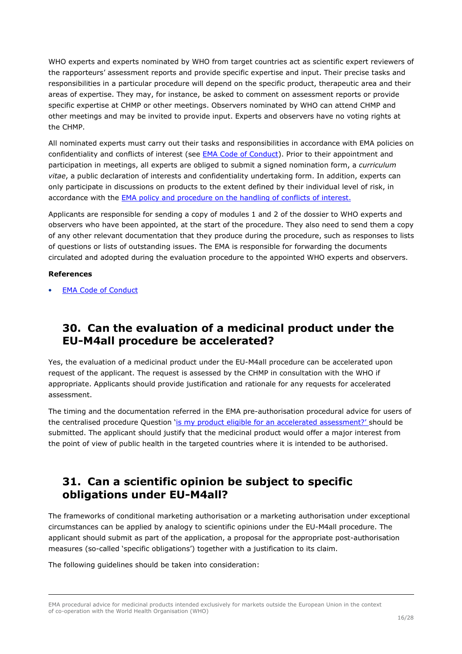WHO experts and experts nominated by WHO from target countries act as scientific expert reviewers of the rapporteurs' assessment reports and provide specific expertise and input. Their precise tasks and responsibilities in a particular procedure will depend on the specific product, therapeutic area and their areas of expertise. They may, for instance, be asked to comment on assessment reports or provide specific expertise at CHMP or other meetings. Observers nominated by WHO can attend CHMP and other meetings and may be invited to provide input. Experts and observers have no voting rights at the CHMP.

All nominated experts must carry out their tasks and responsibilities in accordance with EMA policies on confidentiality and conflicts of interest (see EMA Code of Conduct). Prior to their appointment and participation in meetings, all experts are obliged to submit a signed nomination form, a *curriculum vitae*, a public declaration of interests and confidentiality undertaking form. In addition, experts can only participate in discussions on products to the extent defined by their individual level of risk, in accordance with the **EMA policy and procedure on the handling of conflicts of interest.** 

Applicants are responsible for sending a copy of modules 1 and 2 of the dossier to WHO experts and observers who have been appointed, at the start of the procedure. They also need to send them a copy of any other relevant documentation that they produce during the procedure, such as responses to lists of questions or lists of outstanding issues. The EMA is responsible for forwarding the documents circulated and adopted during the evaluation procedure to the appointed WHO experts and observers.

#### **References**

**EMA Code of Conduct** 

#### **30. Can the evaluation of a medicinal product under the EU-M4all procedure be accelerated?**

Yes, the evaluation of a medicinal product under the EU-M4all procedure can be accelerated upon request of the applicant. The request is assessed by the CHMP in consultation with the WHO if appropriate. Applicants should provide justification and rationale for any requests for accelerated assessment.

The timing and the documentation referred in the EMA pre-authorisation procedural advice for users of the centralised procedure Question 'is my product eligible for an accelerated assessment?' should be submitted. The applicant should justify that the medicinal product would offer a major interest from the point of view of public health in the targeted countries where it is intended to be authorised.

### **31. Can a scientific opinion be subject to specific obligations under EU-M4all?**

The frameworks of conditional marketing authorisation or a marketing authorisation under exceptional circumstances can be applied by analogy to scientific opinions under the EU-M4all procedure. The applicant should submit as part of the application, a proposal for the appropriate post-authorisation measures (so-called 'specific obligations') together with a justification to its claim.

The following guidelines should be taken into consideration:

EMA procedural advice for medicinal products intended exclusively for markets outside the European Union in the context of co-operation with the World Health Organisation (WHO)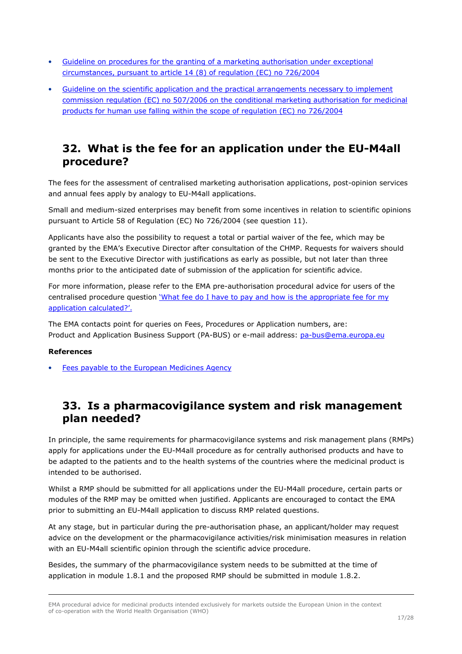- Guideline on procedures for the granting of a marketing authorisation under exceptional circumstances, pursuant to article 14 (8) of regulation (EC) no 726/2004
- Guideline on the scientific application and the practical arrangements necessary to implement commission regulation (EC) no 507/2006 on the conditional marketing authorisation for medicinal products for human use falling within the scope of regulation (EC) no 726/2004

#### **32. What is the fee for an application under the EU-M4all procedure?**

The fees for the assessment of centralised marketing authorisation applications, post-opinion services and annual fees apply by analogy to EU-M4all applications.

Small and medium-sized enterprises may benefit from some incentives in relation to scientific opinions pursuant to Article 58 of Regulation (EC) No 726/2004 (see question 11).

Applicants have also the possibility to request a total or partial waiver of the fee, which may be granted by the EMA's Executive Director after consultation of the CHMP. Requests for waivers should be sent to the Executive Director with justifications as early as possible, but not later than three months prior to the anticipated date of submission of the application for scientific advice.

For more information, please refer to the EMA pre-authorisation procedural advice for users of the centralised procedure question 'What fee do I have to pay and how is the appropriate fee for my application calculated?'.

The EMA contacts point for queries on Fees, Procedures or Application numbers, are: Product and Application Business Support (PA-BUS) or e-mail address: pa-bus@ema.europa.eu

#### **References**

Fees payable to the European Medicines Agency

### **33. Is a pharmacovigilance system and risk management plan needed?**

In principle, the same requirements for pharmacovigilance systems and risk management plans (RMPs) apply for applications under the EU-M4all procedure as for centrally authorised products and have to be adapted to the patients and to the health systems of the countries where the medicinal product is intended to be authorised.

Whilst a RMP should be submitted for all applications under the EU-M4all procedure, certain parts or modules of the RMP may be omitted when justified. Applicants are encouraged to contact the EMA prior to submitting an EU-M4all application to discuss RMP related questions.

At any stage, but in particular during the pre-authorisation phase, an applicant/holder may request advice on the development or the pharmacovigilance activities/risk minimisation measures in relation with an EU-M4all scientific opinion through the scientific advice procedure.

Besides, the summary of the pharmacovigilance system needs to be submitted at the time of application in module 1.8.1 and the proposed RMP should be submitted in module 1.8.2.

EMA procedural advice for medicinal products intended exclusively for markets outside the European Union in the context of co-operation with the World Health Organisation (WHO)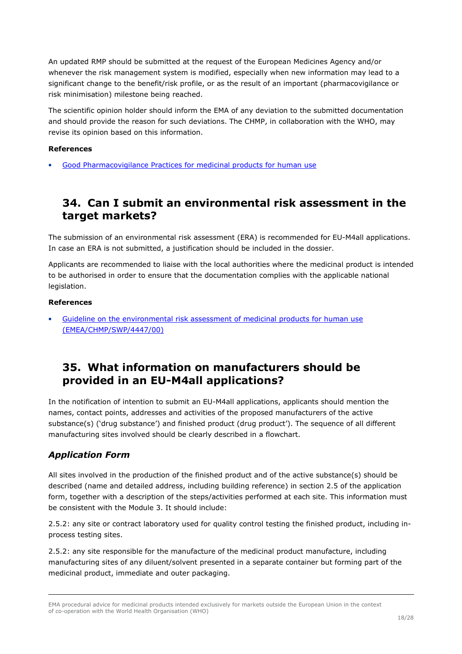An updated RMP should be submitted at the request of the European Medicines Agency and/or whenever the risk management system is modified, especially when new information may lead to a significant change to the benefit/risk profile, or as the result of an important (pharmacovigilance or risk minimisation) milestone being reached.

The scientific opinion holder should inform the EMA of any deviation to the submitted documentation and should provide the reason for such deviations. The CHMP, in collaboration with the WHO, may revise its opinion based on this information.

#### **References**

• Good Pharmacovigilance Practices for medicinal products for human use

#### **34. Can I submit an environmental risk assessment in the target markets?**

The submission of an environmental risk assessment (ERA) is recommended for EU-M4all applications. In case an ERA is not submitted, a justification should be included in the dossier.

Applicants are recommended to liaise with the local authorities where the medicinal product is intended to be authorised in order to ensure that the documentation complies with the applicable national legislation.

#### **References**

• Guideline on the environmental risk assessment of medicinal products for human use (EMEA/CHMP/SWP/4447/00)

#### **35. What information on manufacturers should be provided in an EU-M4all applications?**

In the notification of intention to submit an EU-M4all applications, applicants should mention the names, contact points, addresses and activities of the proposed manufacturers of the active substance(s) ('drug substance') and finished product (drug product'). The sequence of all different manufacturing sites involved should be clearly described in a flowchart.

#### *Application Form*

All sites involved in the production of the finished product and of the active substance(s) should be described (name and detailed address, including building reference) in section 2.5 of the application form, together with a description of the steps/activities performed at each site. This information must be consistent with the Module 3. It should include:

2.5.2: any site or contract laboratory used for quality control testing the finished product, including inprocess testing sites.

2.5.2: any site responsible for the manufacture of the medicinal product manufacture, including manufacturing sites of any diluent/solvent presented in a separate container but forming part of the medicinal product, immediate and outer packaging.

EMA procedural advice for medicinal products intended exclusively for markets outside the European Union in the context of co-operation with the World Health Organisation (WHO)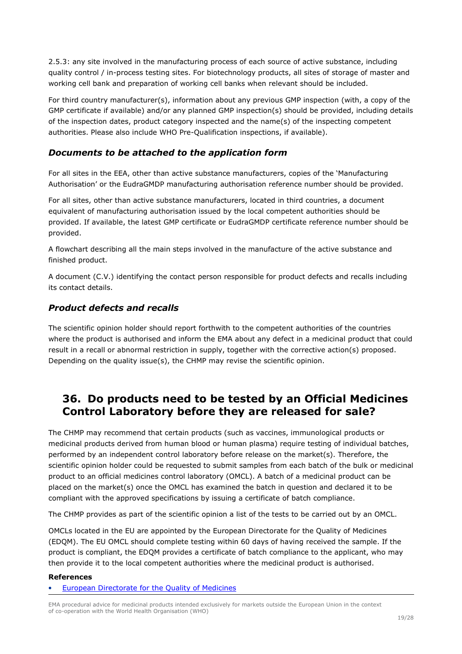2.5.3: any site involved in the manufacturing process of each source of active substance, including quality control / in-process testing sites. For biotechnology products, all sites of storage of master and working cell bank and preparation of working cell banks when relevant should be included.

For third country manufacturer(s), information about any previous GMP inspection (with, a copy of the GMP certificate if available) and/or any planned GMP inspection(s) should be provided, including details of the inspection dates, product category inspected and the name(s) of the inspecting competent authorities. Please also include WHO Pre-Qualification inspections, if available).

#### *Documents to be attached to the application form*

For all sites in the EEA, other than active substance manufacturers, copies of the 'Manufacturing Authorisation' or the EudraGMDP manufacturing authorisation reference number should be provided.

For all sites, other than active substance manufacturers, located in third countries, a document equivalent of manufacturing authorisation issued by the local competent authorities should be provided. If available, the latest GMP certificate or EudraGMDP certificate reference number should be provided.

A flowchart describing all the main steps involved in the manufacture of the active substance and finished product.

A document (C.V.) identifying the contact person responsible for product defects and recalls including its contact details.

#### *Product defects and recalls*

The scientific opinion holder should report forthwith to the competent authorities of the countries where the product is authorised and inform the EMA about any defect in a medicinal product that could result in a recall or abnormal restriction in supply, together with the corrective action(s) proposed. Depending on the quality issue(s), the CHMP may revise the scientific opinion.

#### **36. Do products need to be tested by an Official Medicines Control Laboratory before they are released for sale?**

The CHMP may recommend that certain products (such as vaccines, immunological products or medicinal products derived from human blood or human plasma) require testing of individual batches, performed by an independent control laboratory before release on the market(s). Therefore, the scientific opinion holder could be requested to submit samples from each batch of the bulk or medicinal product to an official medicines control laboratory (OMCL). A batch of a medicinal product can be placed on the market(s) once the OMCL has examined the batch in question and declared it to be compliant with the approved specifications by issuing a certificate of batch compliance.

The CHMP provides as part of the scientific opinion a list of the tests to be carried out by an OMCL.

OMCLs located in the EU are appointed by the European Directorate for the Quality of Medicines (EDQM). The EU OMCL should complete testing within 60 days of having received the sample. If the product is compliant, the EDQM provides a certificate of batch compliance to the applicant, who may then provide it to the local competent authorities where the medicinal product is authorised.

#### **References**

• European Directorate for the Quality of Medicines

EMA procedural advice for medicinal products intended exclusively for markets outside the European Union in the context of co-operation with the World Health Organisation (WHO)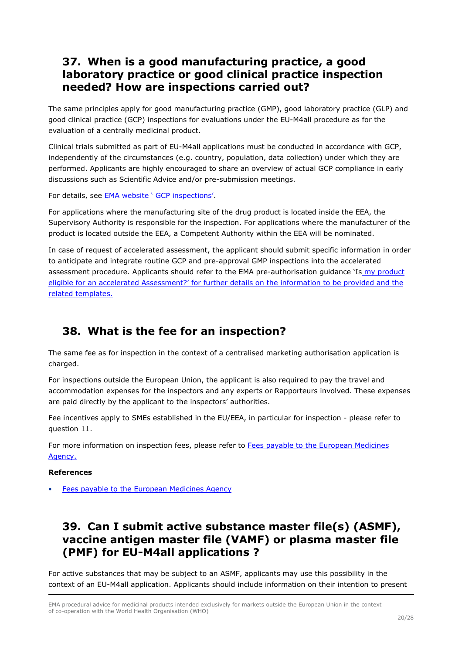#### **37. When is a good manufacturing practice, a good laboratory practice or good clinical practice inspection needed? How are inspections carried out?**

The same principles apply for good manufacturing practice (GMP), good laboratory practice (GLP) and good clinical practice (GCP) inspections for evaluations under the EU-M4all procedure as for the evaluation of a centrally medicinal product.

Clinical trials submitted as part of EU-M4all applications must be conducted in accordance with GCP, independently of the circumstances (e.g. country, population, data collection) under which they are performed. Applicants are highly encouraged to share an overview of actual GCP compliance in early discussions such as Scientific Advice and/or pre-submission meetings.

For details, see EMA website ' GCP inspections'.

For applications where the manufacturing site of the drug product is located inside the EEA, the Supervisory Authority is responsible for the inspection. For applications where the manufacturer of the product is located outside the EEA, a Competent Authority within the EEA will be nominated.

In case of request of accelerated assessment, the applicant should submit specific information in order to anticipate and integrate routine GCP and pre-approval GMP inspections into the accelerated assessment procedure. Applicants should refer to the EMA pre-authorisation guidance 'Is my product eligible for an accelerated Assessment?' for further details on the information to be provided and the related templates.

## **38. What is the fee for an inspection?**

The same fee as for inspection in the context of a centralised marketing authorisation application is charged.

For inspections outside the European Union, the applicant is also required to pay the travel and accommodation expenses for the inspectors and any experts or Rapporteurs involved. These expenses are paid directly by the applicant to the inspectors' authorities.

Fee incentives apply to SMEs established in the EU/EEA, in particular for inspection - please refer to question 11.

For more information on inspection fees, please refer to Fees payable to the European Medicines Agency.

#### **References**

• Fees payable to the European Medicines Agency

### **39. Can I submit active substance master file(s) (ASMF), vaccine antigen master file (VAMF) or plasma master file (PMF) for EU-M4all applications ?**

For active substances that may be subject to an ASMF, applicants may use this possibility in the context of an EU-M4all application. Applicants should include information on their intention to present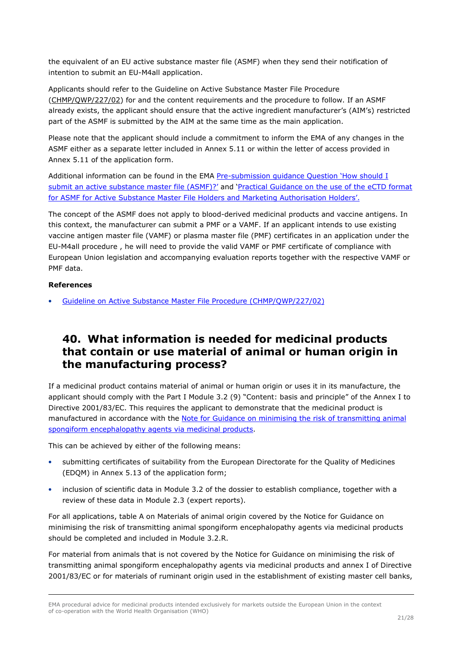the equivalent of an EU active substance master file (ASMF) when they send their notification of intention to submit an EU-M4all application.

Applicants should refer to the Guideline on Active Substance Master File Procedure (CHMP/QWP/227/02) for and the content requirements and the procedure to follow. If an ASMF already exists, the applicant should ensure that the active ingredient manufacturer's (AIM's) restricted part of the ASMF is submitted by the AIM at the same time as the main application.

Please note that the applicant should include a commitment to inform the EMA of any changes in the ASMF either as a separate letter included in Annex 5.11 or within the letter of access provided in Annex 5.11 of the application form.

Additional information can be found in the EMA Pre-submission guidance Question 'How should I submit an active substance master file (ASMF)?' and 'Practical Guidance on the use of the eCTD format for ASMF for Active Substance Master File Holders and Marketing Authorisation Holders'.

The concept of the ASMF does not apply to blood-derived medicinal products and vaccine antigens. In this context, the manufacturer can submit a PMF or a VAMF. If an applicant intends to use existing vaccine antigen master file (VAMF) or plasma master file (PMF) certificates in an application under the EU-M4all procedure , he will need to provide the valid VAMF or PMF certificate of compliance with European Union legislation and accompanying evaluation reports together with the respective VAMF or PMF data.

#### **References**

• Guideline on Active Substance Master File Procedure (CHMP/QWP/227/02)

### **40. What information is needed for medicinal products that contain or use material of animal or human origin in the manufacturing process?**

If a medicinal product contains material of animal or human origin or uses it in its manufacture, the applicant should comply with the Part I Module 3.2 (9) "Content: basis and principle" of the Annex I to Directive 2001/83/EC. This requires the applicant to demonstrate that the medicinal product is manufactured in accordance with the Note for Guidance on minimising the risk of transmitting animal spongiform encephalopathy agents via medicinal products.

This can be achieved by either of the following means:

- submitting certificates of suitability from the European Directorate for the Quality of Medicines (EDQM) in Annex 5.13 of the application form;
- inclusion of scientific data in Module 3.2 of the dossier to establish compliance, together with a review of these data in Module 2.3 (expert reports).

For all applications, table A on Materials of animal origin covered by the Notice for Guidance on minimising the risk of transmitting animal spongiform encephalopathy agents via medicinal products should be completed and included in Module 3.2.R.

For material from animals that is not covered by the Notice for Guidance on minimising the risk of transmitting animal spongiform encephalopathy agents via medicinal products and annex I of Directive 2001/83/EC or for materials of ruminant origin used in the establishment of existing master cell banks,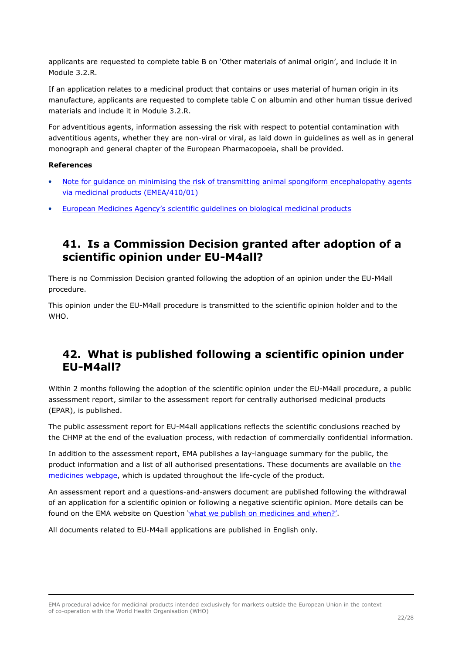applicants are requested to complete table B on 'Other materials of animal origin', and include it in Module 3.2.R.

If an application relates to a medicinal product that contains or uses material of human origin in its manufacture, applicants are requested to complete table C on albumin and other human tissue derived materials and include it in Module 3.2.R.

For adventitious agents, information assessing the risk with respect to potential contamination with adventitious agents, whether they are non-viral or viral, as laid down in guidelines as well as in general monograph and general chapter of the European Pharmacopoeia, shall be provided.

#### **References**

- Note for guidance on minimising the risk of transmitting animal spongiform encephalopathy agents via medicinal products (EMEA/410/01)
- European Medicines Agency's scientific guidelines on biological medicinal products

#### **41. Is a Commission Decision granted after adoption of a scientific opinion under EU-M4all?**

There is no Commission Decision granted following the adoption of an opinion under the EU-M4all procedure.

This opinion under the EU-M4all procedure is transmitted to the scientific opinion holder and to the WHO.

#### **42. What is published following a scientific opinion under EU-M4all?**

Within 2 months following the adoption of the scientific opinion under the EU-M4all procedure, a public assessment report, similar to the assessment report for centrally authorised medicinal products (EPAR), is published.

The public assessment report for EU-M4all applications reflects the scientific conclusions reached by the CHMP at the end of the evaluation process, with redaction of commercially confidential information.

In addition to the assessment report, EMA publishes a lay-language summary for the public, the product information and a list of all authorised presentations. These documents are available on the medicines webpage, which is updated throughout the life-cycle of the product.

An assessment report and a questions-and-answers document are published following the withdrawal of an application for a scientific opinion or following a negative scientific opinion. More details can be found on the EMA website on Question 'what we publish on medicines and when?'.

All documents related to EU-M4all applications are published in English only.

EMA procedural advice for medicinal products intended exclusively for markets outside the European Union in the context of co-operation with the World Health Organisation (WHO)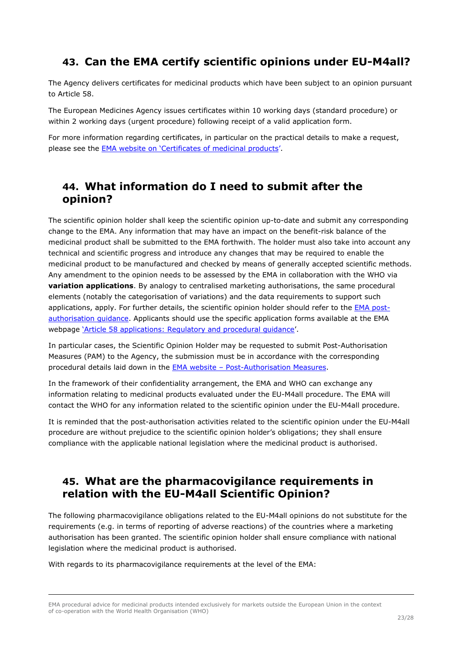## **43. Can the EMA certify scientific opinions under EU-M4all?**

The Agency delivers certificates for medicinal products which have been subject to an opinion pursuant to Article 58.

The European Medicines Agency issues certificates within 10 working days (standard procedure) or within 2 working days (urgent procedure) following receipt of a valid application form.

For more information regarding certificates, in particular on the practical details to make a request, please see the EMA website on 'Certificates of medicinal products'.

#### **44. What information do I need to submit after the opinion?**

The scientific opinion holder shall keep the scientific opinion up-to-date and submit any corresponding change to the EMA. Any information that may have an impact on the benefit-risk balance of the medicinal product shall be submitted to the EMA forthwith. The holder must also take into account any technical and scientific progress and introduce any changes that may be required to enable the medicinal product to be manufactured and checked by means of generally accepted scientific methods. Any amendment to the opinion needs to be assessed by the EMA in collaboration with the WHO via **variation applications**. By analogy to centralised marketing authorisations, the same procedural elements (notably the categorisation of variations) and the data requirements to support such applications, apply. For further details, the scientific opinion holder should refer to the EMA postauthorisation quidance. Applicants should use the specific application forms available at the EMA webpage 'Article 58 applications: Regulatory and procedural guidance'.

In particular cases, the Scientific Opinion Holder may be requested to submit Post-Authorisation Measures (PAM) to the Agency, the submission must be in accordance with the corresponding procedural details laid down in the EMA website – Post-Authorisation Measures.

In the framework of their confidentiality arrangement, the EMA and WHO can exchange any information relating to medicinal products evaluated under the EU-M4all procedure. The EMA will contact the WHO for any information related to the scientific opinion under the EU-M4all procedure.

It is reminded that the post-authorisation activities related to the scientific opinion under the EU-M4all procedure are without prejudice to the scientific opinion holder's obligations; they shall ensure compliance with the applicable national legislation where the medicinal product is authorised.

## **45. What are the pharmacovigilance requirements in relation with the EU-M4all Scientific Opinion?**

The following pharmacovigilance obligations related to the EU-M4all opinions do not substitute for the requirements (e.g. in terms of reporting of adverse reactions) of the countries where a marketing authorisation has been granted. The scientific opinion holder shall ensure compliance with national legislation where the medicinal product is authorised.

With regards to its pharmacovigilance requirements at the level of the EMA:

EMA procedural advice for medicinal products intended exclusively for markets outside the European Union in the context of co-operation with the World Health Organisation (WHO)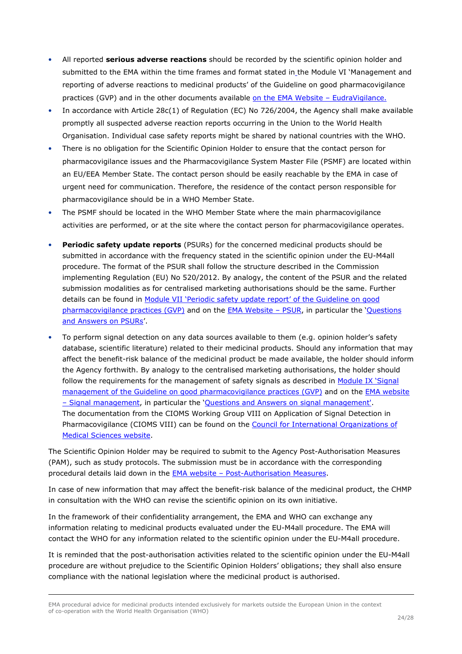- All reported **serious adverse reactions** should be recorded by the scientific opinion holder and submitted to the EMA within the time frames and format stated in the Module VI 'Management and reporting of adverse reactions to medicinal products' of the Guideline on good pharmacovigilance practices (GVP) and in the other documents available on the EMA Website - EudraVigilance.
- In accordance with Article 28c(1) of Regulation (EC) No 726/2004, the Agency shall make available promptly all suspected adverse reaction reports occurring in the Union to the World Health Organisation. Individual case safety reports might be shared by national countries with the WHO.
- There is no obligation for the Scientific Opinion Holder to ensure that the contact person for pharmacovigilance issues and the Pharmacovigilance System Master File (PSMF) are located within an EU/EEA Member State. The contact person should be easily reachable by the EMA in case of urgent need for communication. Therefore, the residence of the contact person responsible for pharmacovigilance should be in a WHO Member State.
- The PSMF should be located in the WHO Member State where the main pharmacovigilance activities are performed, or at the site where the contact person for pharmacovigilance operates.
- **Periodic safety update reports** (PSURs) for the concerned medicinal products should be submitted in accordance with the frequency stated in the scientific opinion under the EU-M4all procedure. The format of the PSUR shall follow the structure described in the Commission implementing Regulation (EU) No 520/2012. By analogy, the content of the PSUR and the related submission modalities as for centralised marketing authorisations should be the same. Further details can be found in Module VII 'Periodic safety update report' of the Guideline on good pharmacovigilance practices (GVP) and on the EMA Website – PSUR, in particular the 'Questions and Answers on PSURs'.
- To perform signal detection on any data sources available to them (e.g. opinion holder's safety database, scientific literature) related to their medicinal products. Should any information that may affect the benefit-risk balance of the medicinal product be made available, the holder should inform the Agency forthwith. By analogy to the centralised marketing authorisations, the holder should follow the requirements for the management of safety signals as described in Module IX 'Signal management of the Guideline on good pharmacovigilance practices (GVP) and on the EMA website – Signal management, in particular the 'Questions and Answers on signal management'. The documentation from the CIOMS Working Group VIII on Application of Signal Detection in Pharmacovigilance (CIOMS VIII) can be found on the Council for International Organizations of Medical Sciences website.

The Scientific Opinion Holder may be required to submit to the Agency Post-Authorisation Measures (PAM), such as study protocols. The submission must be in accordance with the corresponding procedural details laid down in the EMA website – Post-Authorisation Measures.

In case of new information that may affect the benefit-risk balance of the medicinal product, the CHMP in consultation with the WHO can revise the scientific opinion on its own initiative.

In the framework of their confidentiality arrangement, the EMA and WHO can exchange any information relating to medicinal products evaluated under the EU-M4all procedure. The EMA will contact the WHO for any information related to the scientific opinion under the EU-M4all procedure.

It is reminded that the post-authorisation activities related to the scientific opinion under the EU-M4all procedure are without prejudice to the Scientific Opinion Holders' obligations; they shall also ensure compliance with the national legislation where the medicinal product is authorised.

EMA procedural advice for medicinal products intended exclusively for markets outside the European Union in the context of co-operation with the World Health Organisation (WHO)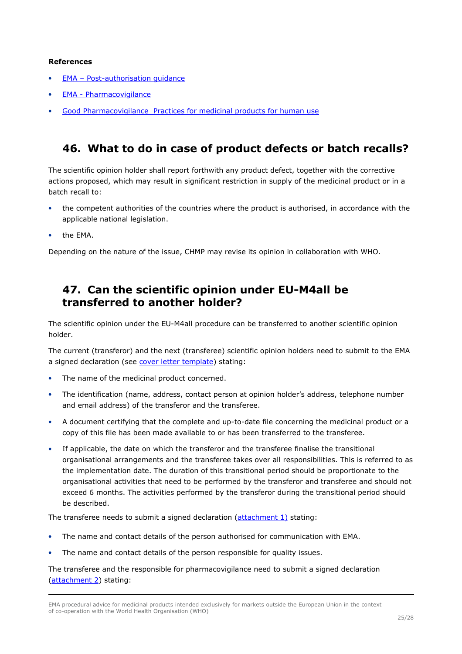#### **References**

- EMA Post-authorisation guidance
- EMA Pharmacovigilance
- Good Pharmacovigilance Practices for medicinal products for human use

#### **46. What to do in case of product defects or batch recalls?**

The scientific opinion holder shall report forthwith any product defect, together with the corrective actions proposed, which may result in significant restriction in supply of the medicinal product or in a batch recall to:

- the competent authorities of the countries where the product is authorised, in accordance with the applicable national legislation.
- the EMA.

Depending on the nature of the issue, CHMP may revise its opinion in collaboration with WHO.

#### **47. Can the scientific opinion under EU-M4all be transferred to another holder?**

The scientific opinion under the EU-M4all procedure can be transferred to another scientific opinion holder.

The current (transferor) and the next (transferee) scientific opinion holders need to submit to the EMA a signed declaration (see cover letter template) stating:

- The name of the medicinal product concerned.
- The identification (name, address, contact person at opinion holder's address, telephone number and email address) of the transferor and the transferee.
- A document certifying that the complete and up-to-date file concerning the medicinal product or a copy of this file has been made available to or has been transferred to the transferee.
- If applicable, the date on which the transferor and the transferee finalise the transitional organisational arrangements and the transferee takes over all responsibilities. This is referred to as the implementation date. The duration of this transitional period should be proportionate to the organisational activities that need to be performed by the transferor and transferee and should not exceed 6 months. The activities performed by the transferor during the transitional period should be described.

The transferee needs to submit a signed declaration (attachment 1) stating:

- The name and contact details of the person authorised for communication with EMA.
- The name and contact details of the person responsible for quality issues.

The transferee and the responsible for pharmacovigilance need to submit a signed declaration (attachment 2) stating:

EMA procedural advice for medicinal products intended exclusively for markets outside the European Union in the context of co-operation with the World Health Organisation (WHO)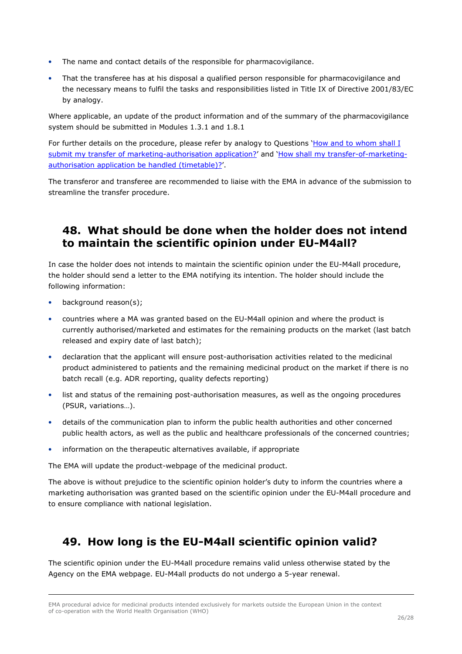- The name and contact details of the responsible for pharmacovigilance.
- That the transferee has at his disposal a qualified person responsible for pharmacovigilance and the necessary means to fulfil the tasks and responsibilities listed in Title IX of Directive 2001/83/EC by analogy.

Where applicable, an update of the product information and of the summary of the pharmacovigilance system should be submitted in Modules 1.3.1 and 1.8.1

For further details on the procedure, please refer by analogy to Questions 'How and to whom shall I submit my transfer of marketing-authorisation application?' and 'How shall my transfer-of-marketingauthorisation application be handled (timetable)?'.

The transferor and transferee are recommended to liaise with the EMA in advance of the submission to streamline the transfer procedure.

### **48. What should be done when the holder does not intend to maintain the scientific opinion under EU-M4all?**

In case the holder does not intends to maintain the scientific opinion under the EU-M4all procedure, the holder should send a letter to the EMA notifying its intention. The holder should include the following information:

- background reason(s);
- countries where a MA was granted based on the EU-M4all opinion and where the product is currently authorised/marketed and estimates for the remaining products on the market (last batch released and expiry date of last batch);
- declaration that the applicant will ensure post-authorisation activities related to the medicinal product administered to patients and the remaining medicinal product on the market if there is no batch recall (e.g. ADR reporting, quality defects reporting)
- list and status of the remaining post-authorisation measures, as well as the ongoing procedures (PSUR, variations…).
- details of the communication plan to inform the public health authorities and other concerned public health actors, as well as the public and healthcare professionals of the concerned countries;
- information on the therapeutic alternatives available, if appropriate

The EMA will update the product-webpage of the medicinal product.

The above is without prejudice to the scientific opinion holder's duty to inform the countries where a marketing authorisation was granted based on the scientific opinion under the EU-M4all procedure and to ensure compliance with national legislation.

# **49. How long is the EU-M4all scientific opinion valid?**

The scientific opinion under the EU-M4all procedure remains valid unless otherwise stated by the Agency on the EMA webpage. EU-M4all products do not undergo a 5-year renewal.

EMA procedural advice for medicinal products intended exclusively for markets outside the European Union in the context of co-operation with the World Health Organisation (WHO)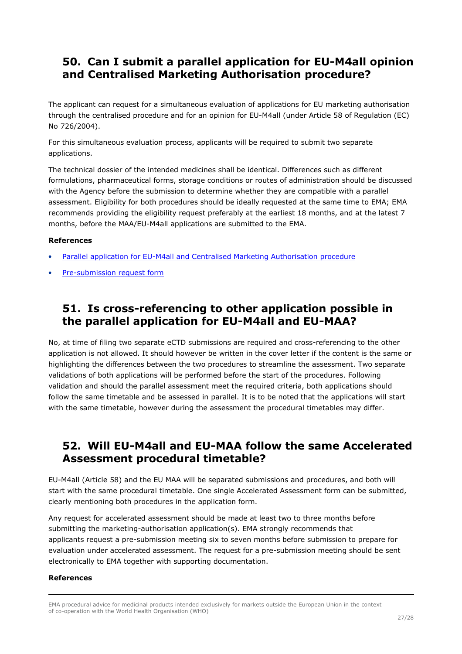## **50. Can I submit a parallel application for EU-M4all opinion and Centralised Marketing Authorisation procedure?**

The applicant can request for a simultaneous evaluation of applications for EU marketing authorisation through the centralised procedure and for an opinion for EU-M4all (under Article 58 of Regulation (EC) No 726/2004).

For this simultaneous evaluation process, applicants will be required to submit two separate applications.

The technical dossier of the intended medicines shall be identical. Differences such as different formulations, pharmaceutical forms, storage conditions or routes of administration should be discussed with the Agency before the submission to determine whether they are compatible with a parallel assessment. Eligibility for both procedures should be ideally requested at the same time to EMA; EMA recommends providing the eligibility request preferably at the earliest 18 months, and at the latest 7 months, before the MAA/EU-M4all applications are submitted to the EMA.

#### **References**

- Parallel application for EU-M4all and Centralised Marketing Authorisation procedure
- Pre-submission request form

#### **51. Is cross-referencing to other application possible in the parallel application for EU-M4all and EU-MAA?**

No, at time of filing two separate eCTD submissions are required and cross-referencing to the other application is not allowed. It should however be written in the cover letter if the content is the same or highlighting the differences between the two procedures to streamline the assessment. Two separate validations of both applications will be performed before the start of the procedures. Following validation and should the parallel assessment meet the required criteria, both applications should follow the same timetable and be assessed in parallel. It is to be noted that the applications will start with the same timetable, however during the assessment the procedural timetables may differ.

### **52. Will EU-M4all and EU-MAA follow the same Accelerated Assessment procedural timetable?**

EU-M4all (Article 58) and the EU MAA will be separated submissions and procedures, and both will start with the same procedural timetable. One single Accelerated Assessment form can be submitted, clearly mentioning both procedures in the application form.

Any request for accelerated assessment should be made at least two to three months before submitting the marketing-authorisation application(s). EMA strongly recommends that applicants request a pre-submission meeting six to seven months before submission to prepare for evaluation under accelerated assessment. The request for a pre-submission meeting should be sent electronically to EMA together with supporting documentation.

#### **References**

EMA procedural advice for medicinal products intended exclusively for markets outside the European Union in the context of co-operation with the World Health Organisation (WHO)